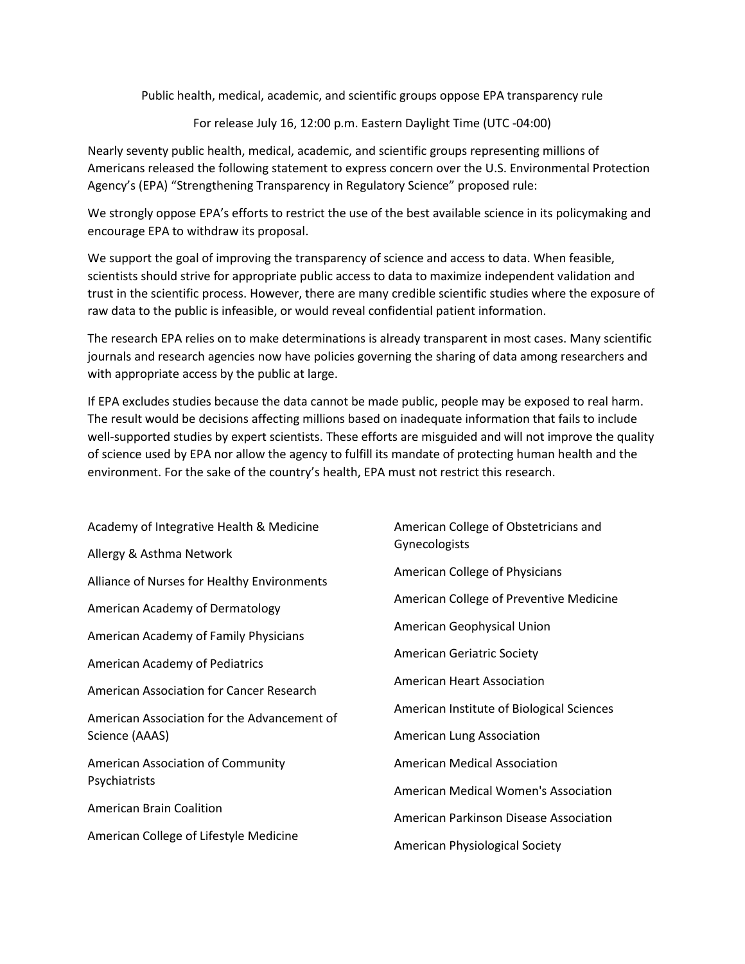Public health, medical, academic, and scientific groups oppose EPA transparency rule

For release July 16, 12:00 p.m. Eastern Daylight Time (UTC -04:00)

Nearly seventy public health, medical, academic, and scientific groups representing millions of Americans released the following statement to express concern over the U.S. Environmental Protection Agency's (EPA) "Strengthening Transparency in Regulatory Science" proposed rule:

We strongly oppose EPA's efforts to restrict the use of the best available science in its policymaking and encourage EPA to withdraw its proposal.

We support the goal of improving the transparency of science and access to data. When feasible, scientists should strive for appropriate public access to data to maximize independent validation and trust in the scientific process. However, there are many credible scientific studies where the exposure of raw data to the public is infeasible, or would reveal confidential patient information.

The research EPA relies on to make determinations is already transparent in most cases. Many scientific journals and research agencies now have policies governing the sharing of data among researchers and with appropriate access by the public at large.

If EPA excludes studies because the data cannot be made public, people may be exposed to real harm. The result would be decisions affecting millions based on inadequate information that fails to include well-supported studies by expert scientists. These efforts are misguided and will not improve the quality of science used by EPA nor allow the agency to fulfill its mandate of protecting human health and the environment. For the sake of the country's health, EPA must not restrict this research.

| Academy of Integrative Health & Medicine           | American College of Obstetricians and     |
|----------------------------------------------------|-------------------------------------------|
| Allergy & Asthma Network                           | Gynecologists                             |
| Alliance of Nurses for Healthy Environments        | American College of Physicians            |
| American Academy of Dermatology                    | American College of Preventive Medicine   |
| American Academy of Family Physicians              | American Geophysical Union                |
| <b>American Academy of Pediatrics</b>              | <b>American Geriatric Society</b>         |
| American Association for Cancer Research           | American Heart Association                |
| American Association for the Advancement of        | American Institute of Biological Sciences |
| Science (AAAS)                                     | American Lung Association                 |
| American Association of Community<br>Psychiatrists | <b>American Medical Association</b>       |
|                                                    | American Medical Women's Association      |
| <b>American Brain Coalition</b>                    | American Parkinson Disease Association    |
| American College of Lifestyle Medicine             | American Physiological Society            |